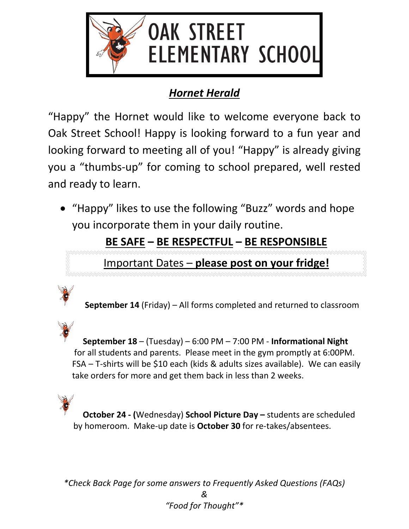

## *Hornet Herald*

"Happy" the Hornet would like to welcome everyone back to Oak Street School! Happy is looking forward to a fun year and looking forward to meeting all of you! "Happy" is already giving you a "thumbs-up" for coming to school prepared, well rested and ready to learn.

• "Happy" likes to use the following "Buzz" words and hope you incorporate them in your daily routine.

**BE SAFE – BE RESPECTFUL – BE RESPONSIBLE**

Important Dates – **please post on your fridge!**



**September 18** – (Tuesday) – 6:00 PM – 7:00 PM - **Informational Night** for all students and parents. Please meet in the gym promptly at 6:00PM. FSA – T-shirts will be \$10 each (kids & adults sizes available). We can easily take orders for more and get them back in less than 2 weeks.

**October 24 - (**Wednesday) **School Picture Day –** students are scheduled by homeroom. Make-up date is **October 30** for re-takes/absentees.

*\*Check Back Page for some answers to Frequently Asked Questions (FAQs) & "Food for Thought"\**